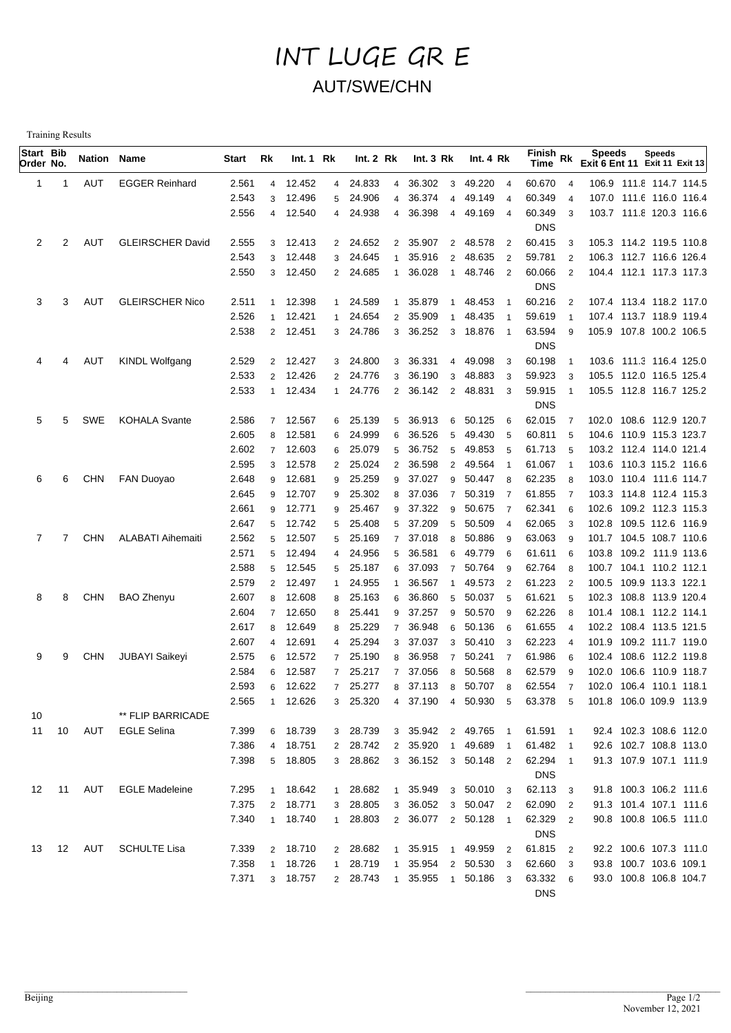## INT LUGE GR E AUT/SWE/CHN

Training Results

| Start Bib<br>Order No. |       | Nation Name |                          | Start | Rk             | Int.1 Rk |                | Int.2 Rk |                  | Int. $3 Rk$ |                | Int. 4 Rk           |                         | Finish Rk<br>Time                     |                | <b>Speeds</b><br>Exit 6 Ent 11 Exit 11 Exit 13 | <b>Speeds</b>          |  |
|------------------------|-------|-------------|--------------------------|-------|----------------|----------|----------------|----------|------------------|-------------|----------------|---------------------|-------------------------|---------------------------------------|----------------|------------------------------------------------|------------------------|--|
| 1                      | 1     | AUT         | <b>EGGER Reinhard</b>    | 2.561 | $\overline{4}$ | 12.452   |                | 4 24.833 | $\overline{4}$   | 36.302      | $\mathbf{3}$   | 49.220              | $\overline{4}$          | 60.670                                | $\overline{4}$ | 106.9 111.8 114.7 114.5                        |                        |  |
|                        |       |             |                          | 2.543 | 3              | 12.496   | 5              | 24.906   | $\overline{4}$   | 36.374      | 4              | 49.149              | $\overline{4}$          | 60.349                                | $\overline{4}$ | 107.0 111.6 116.0 116.4                        |                        |  |
|                        |       |             |                          | 2.556 | 4              | 12.540   |                | 4 24.938 | 4                | 36.398      | $\overline{4}$ | 49.169              | $\overline{4}$          | 60.349                                | 3              | 103.7 111.8 120.3 116.6                        |                        |  |
|                        |       |             |                          |       |                |          |                |          |                  |             |                |                     |                         | <b>DNS</b>                            |                |                                                |                        |  |
| 2                      | 2     | AUT         | <b>GLEIRSCHER David</b>  | 2.555 | 3              | 12.413   |                | 2 24.652 | $\overline{2}$   | 35.907      | $\overline{2}$ | 48.578              | $\overline{2}$          | 60.415                                | 3              | 105.3 114.2 119.5 110.8                        |                        |  |
|                        |       |             |                          | 2.543 | 3              | 12.448   | 3              | 24.645   | $\mathbf{1}$     | 35.916      | $\overline{2}$ | 48.635              | $\overline{2}$          | 59.781                                | $\overline{2}$ | 106.3 112.7 116.6 126.4                        |                        |  |
|                        |       |             |                          | 2.550 | 3              | 12.450   |                | 2 24.685 | $\mathbf{1}$     | 36.028      | $\overline{1}$ | 48.746              | $\overline{2}$          | 60.066                                | $\overline{2}$ | 104.4 112.1 117.3 117.3                        |                        |  |
|                        |       |             |                          |       |                |          |                |          |                  |             |                |                     |                         | <b>DNS</b>                            |                |                                                |                        |  |
| 3                      | 3     | AUT         | <b>GLEIRSCHER Nico</b>   | 2.511 | $\mathbf{1}$   | 12.398   |                | 1 24.589 | $\mathbf{1}$     | 35.879      | -1             | 48.453              | $\overline{1}$          | 60.216                                | $\overline{2}$ | 107.4 113.4 118.2 117.0                        |                        |  |
|                        |       |             |                          | 2.526 | 1              | 12.421   | $\mathbf{1}$   | 24.654   | $\overline{2}$   | 35.909      |                | 48.435              | $\overline{1}$          | 59.619                                |                | 107.4 113.7 118.9 119.4                        |                        |  |
|                        |       |             |                          | 2.538 |                | 2 12.451 |                | 3 24.786 | 3                | 36.252      |                | 3 18.876            | $\overline{1}$          | 63.594                                | 9              | 105.9 107.8 100.2 106.5                        |                        |  |
|                        |       |             |                          |       |                |          |                |          |                  |             |                |                     |                         | <b>DNS</b>                            |                |                                                |                        |  |
| 4                      |       | AUT         | <b>KINDL Wolfgang</b>    | 2.529 | $\overline{2}$ | 12.427   |                | 3 24.800 | 3                | 36.331      | $\overline{4}$ | 49.098              | -3                      | 60.198                                |                | 103.6 111.3 116.4 125.0                        |                        |  |
|                        |       |             |                          | 2.533 | $\overline{2}$ | 12.426   |                | 2 24.776 | 3                | 36.190      | 3              | 48.883              | 3                       | 59.923                                | 3              | 105.5 112.0 116.5 125.4                        |                        |  |
|                        |       |             |                          | 2.533 |                | 1 12.434 |                | 1 24.776 | $\overline{2}$   | 36.142      |                | 2 48.831            | - 3                     | 59.915                                | $\overline{1}$ | 105.5 112.8 116.7 125.2                        |                        |  |
|                        |       |             |                          |       |                |          |                |          |                  |             |                |                     |                         | <b>DNS</b>                            |                |                                                |                        |  |
| 5                      | 5     | SWE         | <b>KOHALA Svante</b>     | 2.586 | $\overline{7}$ | 12.567   |                | 6 25.139 |                  | 5 36.913    |                | 6 50.125            | 6                       | 62.015                                | $\overline{7}$ | 102.0 108.6 112.9 120.7                        |                        |  |
|                        |       |             |                          | 2.605 | 8              | 12.581   | 6              | 24.999   | 6                | 36.526      | 5              | 49.430              | 5                       | 60.811                                | 5              | 104.6 110.9 115.3 123.7                        |                        |  |
|                        |       |             |                          | 2.602 | $\overline{7}$ | 12.603   | 6              | 25.079   | 5                | 36.752      | 5              | 49.853              | 5                       | 61.713                                | 5              | 103.2 112.4 114.0 121.4                        |                        |  |
|                        |       |             |                          | 2.595 | 3              | 12.578   |                | 2 25.024 | $\overline{2}$   | 36.598      | $\overline{2}$ | 49.564              |                         | 61.067                                | $\overline{1}$ | 103.6 110.3 115.2 116.6                        |                        |  |
| 6                      | 6     | <b>CHN</b>  | <b>FAN Duoyao</b>        | 2.648 | 9              | 12.681   | 9              | 25.259   | 9                | 37.027      | 9              | 50.447              | 8                       | 62.235                                | 8              | 103.0 110.4 111.6 114.7                        |                        |  |
|                        |       |             |                          | 2.645 | 9              | 12.707   | 9              | 25.302   | 8                | 37.036      | $\overline{7}$ | 50.319              | $\overline{7}$          | 61.855                                | -7             | 103.3 114.8 112.4 115.3                        |                        |  |
|                        |       |             |                          | 2.661 | 9              | 12.771   | 9              | 25.467   | 9                | 37.322      | 9              | 50.675              | $\overline{7}$          | 62.341                                | 6              | 102.6 109.2 112.3 115.3                        |                        |  |
|                        |       |             |                          | 2.647 | 5              | 12.742   | 5              | 25.408   | 5                | 37.209      | 5              | 50.509              | $\overline{4}$          | 62.065                                | 3              | 102.8 109.5 112.6 116.9                        |                        |  |
| 7                      | 7     | <b>CHN</b>  | <b>ALABATI Aihemaiti</b> | 2.562 | 5              | 12.507   | 5              | 25.169   | $\overline{7}$   | 37.018      | 8              | 50.886              | -9                      | 63.063                                | 9              | 101.7 104.5 108.7 110.6                        |                        |  |
|                        |       |             |                          | 2.571 | 5              | 12.494   |                | 4 24.956 | 5                | 36.581      | 6              | 49.779              | 6                       | 61.611                                | 6              | 103.8 109.2 111.9 113.6                        |                        |  |
|                        |       |             |                          | 2.588 | 5              | 12.545   | 5 <sup>5</sup> | 25.187   | 6                | 37.093      | $\overline{7}$ | 50.764              | 9                       | 62.764                                | 8              | 100.7 104.1 110.2 112.1                        |                        |  |
|                        |       |             |                          | 2.579 | $\overline{2}$ | 12.497   | $\mathbf{1}$   | 24.955   | $\mathbf{1}$     | 36.567      | -1             | 49.573              | $\overline{2}$          | 61.223                                | $\overline{2}$ | 100.5 109.9 113.3 122.1                        |                        |  |
| 8                      | 8     | <b>CHN</b>  | <b>BAO Zhenyu</b>        | 2.607 | 8              | 12.608   | 8              | 25.163   | 6                | 36.860      | 5              | 50.037              | 5                       | 61.621                                | 5              | 102.3 108.8 113.9 120.4                        |                        |  |
|                        |       |             |                          | 2.604 | $\overline{7}$ | 12.650   | 8              | 25.441   | 9                | 37.257      | 9              | 50.570              | - 9                     | 62.226                                | 8              | 101.4 108.1 112.2 114.1                        |                        |  |
|                        |       |             |                          | 2.617 | 8              | 12.649   | 8              | 25.229   | $\overline{7}$   | 36.948      | 6              | 50.136              | - 6                     | 61.655                                | $\overline{4}$ | 102.2 108.4 113.5 121.5                        |                        |  |
|                        |       |             |                          | 2.607 | 4              | 12.691   | 4              | 25.294   | 3                | 37.037      | $\mathbf{3}$   | 50.410              | $\overline{\mathbf{3}}$ | 62.223                                | $\overline{4}$ | 101.9 109.2 111.7 119.0                        |                        |  |
| 9                      | 9     | <b>CHN</b>  | <b>JUBAYI Saikeyi</b>    | 2.575 | 6              | 12.572   | $\overline{7}$ | 25.190   | 8                | 36.958      | $\overline{7}$ | 50.241 7            |                         | 61.986                                | 6              | 102.4 108.6 112.2 119.8                        |                        |  |
|                        |       |             |                          | 2.584 | 6              | 12.587   | $\overline{7}$ | 25.217   | $\overline{7}$   | 37.056      | 8              | 50.568              | 8                       | 62.579                                | 9              | 102.0 106.6 110.9 118.7                        |                        |  |
|                        |       |             |                          | 2.593 | 6              | 12.622   | $7^{\circ}$    | 25.277   | $\boldsymbol{8}$ | 37.113      |                | 8 50.707 8          |                         | 62.554                                | $\overline{7}$ | 102.0 106.4 110.1 118.1                        |                        |  |
|                        |       |             |                          | 2.565 |                | 1 12.626 |                |          |                  |             |                |                     |                         | 3 25.320 4 37.190 4 50.930 5 63.378 5 |                | 101.8 106.0 109.9 113.9                        |                        |  |
| 10                     |       |             | ** FLIP BARRICADE        |       |                |          |                |          |                  |             |                |                     |                         |                                       |                |                                                |                        |  |
| 11                     | 10    | AUT         | <b>EGLE Selina</b>       | 7.399 |                | 6 18.739 |                | 3 28.739 |                  |             |                | 3 35.942 2 49.765 1 |                         | 61.591 1                              |                |                                                | 92.4 102.3 108.6 112.0 |  |
|                        |       |             |                          | 7.386 |                | 4 18.751 |                | 2 28.742 |                  | 2 35.920    |                | 1 49.689 1          |                         | 61.482 1                              |                |                                                | 92.6 102.7 108.8 113.0 |  |
|                        |       |             |                          | 7.398 |                | 5 18.805 |                | 3 28.862 |                  |             |                | 3 36.152 3 50.148 2 |                         | 62.294 1                              |                |                                                | 91.3 107.9 107.1 111.9 |  |
|                        |       |             |                          |       |                |          |                |          |                  |             |                |                     |                         | <b>DNS</b>                            |                |                                                |                        |  |
|                        | 12 11 | AUT         | <b>EGLE Madeleine</b>    | 7.295 |                | 1 18.642 |                | 1 28.682 |                  | 1 35.949    |                | 3 50.010 3          |                         | 62.113 3                              |                |                                                | 91.8 100.3 106.2 111.6 |  |
|                        |       |             |                          | 7.375 |                | 2 18.771 |                | 3 28.805 |                  |             |                | 3 36.052 3 50.047 2 |                         | 62.090 2                              |                |                                                | 91.3 101.4 107.1 111.6 |  |
|                        |       |             |                          | 7.340 |                | 1 18.740 |                | 1 28.803 |                  |             |                | 2 36.077 2 50.128 1 |                         | 62.329                                | $\overline{2}$ |                                                | 90.8 100.8 106.5 111.0 |  |
|                        |       |             |                          |       |                |          |                |          |                  |             |                |                     |                         | <b>DNS</b>                            |                |                                                |                        |  |
|                        |       |             | 13 12 AUT SCHULTE Lisa   | 7.339 |                | 2 18.710 |                | 2 28.682 |                  | 1 35.915    |                | 1 49.959 2          |                         | 61.815 2                              |                |                                                | 92.2 100.6 107.3 111.0 |  |
|                        |       |             |                          | 7.358 |                | 1 18.726 |                | 1 28.719 |                  |             |                | 1 35.954 2 50.530 3 |                         | 62.660 3                              |                |                                                | 93.8 100.7 103.6 109.1 |  |
|                        |       |             |                          | 7.371 |                | 3 18.757 |                | 2 28.743 |                  |             |                | 1 35.955 1 50.186 3 |                         | 63.332                                | 6              |                                                | 93.0 100.8 106.8 104.7 |  |
|                        |       |             |                          |       |                |          |                |          |                  |             |                |                     |                         | <b>DNS</b>                            |                |                                                |                        |  |